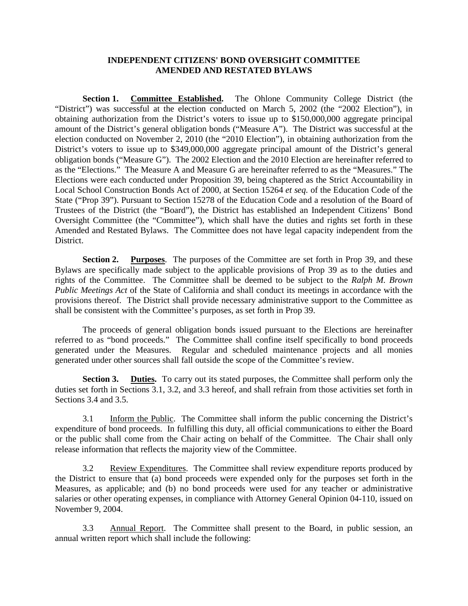## **INDEPENDENT CITIZENS' BOND OVERSIGHT COMMITTEE AMENDED AND RESTATED BYLAWS**

**Section 1. Committee Established.** The Ohlone Community College District (the "District") was successful at the election conducted on March 5, 2002 (the "2002 Election"), in obtaining authorization from the District's voters to issue up to \$150,000,000 aggregate principal amount of the District's general obligation bonds ("Measure A"). The District was successful at the election conducted on November 2, 2010 (the "2010 Election"), in obtaining authorization from the District's voters to issue up to \$349,000,000 aggregate principal amount of the District's general obligation bonds ("Measure G"). The 2002 Election and the 2010 Election are hereinafter referred to as the "Elections." The Measure A and Measure G are hereinafter referred to as the "Measures." The Elections were each conducted under Proposition 39, being chaptered as the Strict Accountability in Local School Construction Bonds Act of 2000, at Section 15264 *et seq.* of the Education Code of the State ("Prop 39"). Pursuant to Section 15278 of the Education Code and a resolution of the Board of Trustees of the District (the "Board"), the District has established an Independent Citizens' Bond Oversight Committee (the "Committee"), which shall have the duties and rights set forth in these Amended and Restated Bylaws. The Committee does not have legal capacity independent from the District.

**Section 2. Purposes**. The purposes of the Committee are set forth in Prop 39, and these Bylaws are specifically made subject to the applicable provisions of Prop 39 as to the duties and rights of the Committee. The Committee shall be deemed to be subject to the *Ralph M. Brown Public Meetings Act* of the State of California and shall conduct its meetings in accordance with the provisions thereof. The District shall provide necessary administrative support to the Committee as shall be consistent with the Committee's purposes, as set forth in Prop 39.

The proceeds of general obligation bonds issued pursuant to the Elections are hereinafter referred to as "bond proceeds." The Committee shall confine itself specifically to bond proceeds generated under the Measures. Regular and scheduled maintenance projects and all monies generated under other sources shall fall outside the scope of the Committee's review.

**Section 3. Duties.** To carry out its stated purposes, the Committee shall perform only the duties set forth in Sections 3.1, 3.2, and 3.3 hereof, and shall refrain from those activities set forth in Sections 3.4 and 3.5.

3.1 Inform the Public. The Committee shall inform the public concerning the District's expenditure of bond proceeds. In fulfilling this duty, all official communications to either the Board or the public shall come from the Chair acting on behalf of the Committee. The Chair shall only release information that reflects the majority view of the Committee.

3.2 Review Expenditures. The Committee shall review expenditure reports produced by the District to ensure that (a) bond proceeds were expended only for the purposes set forth in the Measures, as applicable; and (b) no bond proceeds were used for any teacher or administrative salaries or other operating expenses, in compliance with Attorney General Opinion 04-110, issued on November 9, 2004.

3.3 Annual Report. The Committee shall present to the Board, in public session, an annual written report which shall include the following: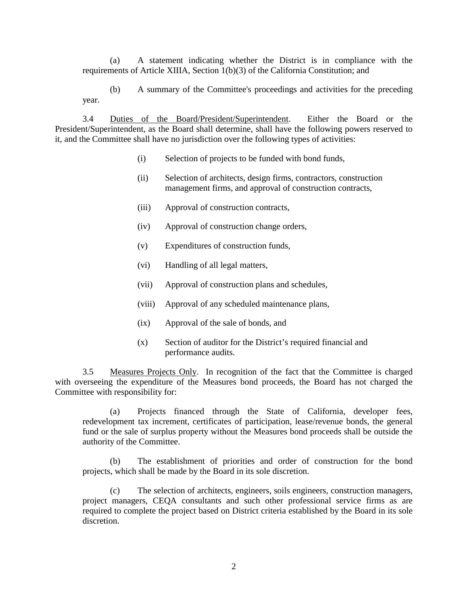(a) A statement indicating whether the District is in compliance with the requirements of Article XIIIA, Section 1(b)(3) of the California Constitution; and

(b) A summary of the Committee's proceedings and activities for the preceding year.

3.4 Duties of the Board/President/Superintendent. Either the Board or the President/Superintendent, as the Board shall determine, shall have the following powers reserved to it, and the Committee shall have no jurisdiction over the following types of activities:

- (i) Selection of projects to be funded with bond funds,
- (ii) Selection of architects, design firms, contractors, construction management firms, and approval of construction contracts,
- (iii) Approval of construction contracts,
- (iv) Approval of construction change orders,
- (v) Expenditures of construction funds,
- (vi) Handling of all legal matters,
- (vii) Approval of construction plans and schedules,
- (viii) Approval of any scheduled maintenance plans,
- (ix) Approval of the sale of bonds, and
- (x) Section of auditor for the District's required financial and performance audits.

3.5 Measures Projects Only. In recognition of the fact that the Committee is charged with overseeing the expenditure of the Measures bond proceeds, the Board has not charged the Committee with responsibility for:

(a) Projects financed through the State of California, developer fees, redevelopment tax increment, certificates of participation, lease/revenue bonds, the general fund or the sale of surplus property without the Measures bond proceeds shall be outside the authority of the Committee.

(b) The establishment of priorities and order of construction for the bond projects, which shall be made by the Board in its sole discretion.

(c) The selection of architects, engineers, soils engineers, construction managers, project managers, CEQA consultants and such other professional service firms as are required to complete the project based on District criteria established by the Board in its sole discretion.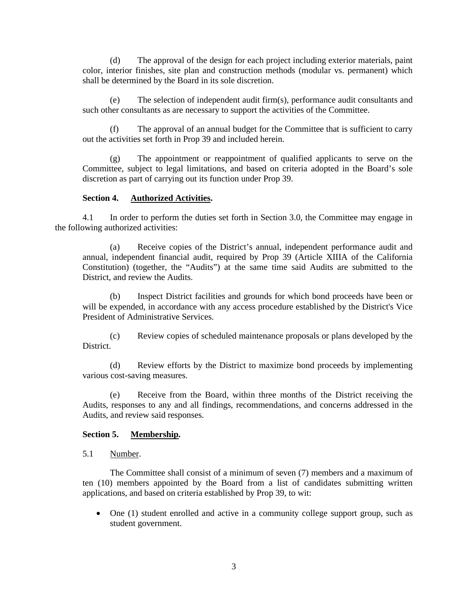(d) The approval of the design for each project including exterior materials, paint color, interior finishes, site plan and construction methods (modular vs. permanent) which shall be determined by the Board in its sole discretion.

(e) The selection of independent audit firm(s), performance audit consultants and such other consultants as are necessary to support the activities of the Committee.

(f) The approval of an annual budget for the Committee that is sufficient to carry out the activities set forth in Prop 39 and included herein.

The appointment or reappointment of qualified applicants to serve on the Committee, subject to legal limitations, and based on criteria adopted in the Board's sole discretion as part of carrying out its function under Prop 39.

### **Section 4. Authorized Activities.**

4.1 In order to perform the duties set forth in Section 3.0, the Committee may engage in the following authorized activities:

(a) Receive copies of the District's annual, independent performance audit and annual, independent financial audit, required by Prop 39 (Article XIIIA of the California Constitution) (together, the "Audits") at the same time said Audits are submitted to the District, and review the Audits.

(b) Inspect District facilities and grounds for which bond proceeds have been or will be expended, in accordance with any access procedure established by the District's Vice President of Administrative Services.

(c) Review copies of scheduled maintenance proposals or plans developed by the District.

(d) Review efforts by the District to maximize bond proceeds by implementing various cost-saving measures.

(e) Receive from the Board, within three months of the District receiving the Audits, responses to any and all findings, recommendations, and concerns addressed in the Audits, and review said responses.

# **Section 5. Membership.**

5.1 Number.

The Committee shall consist of a minimum of seven (7) members and a maximum of ten (10) members appointed by the Board from a list of candidates submitting written applications, and based on criteria established by Prop 39, to wit:

• One (1) student enrolled and active in a community college support group, such as student government.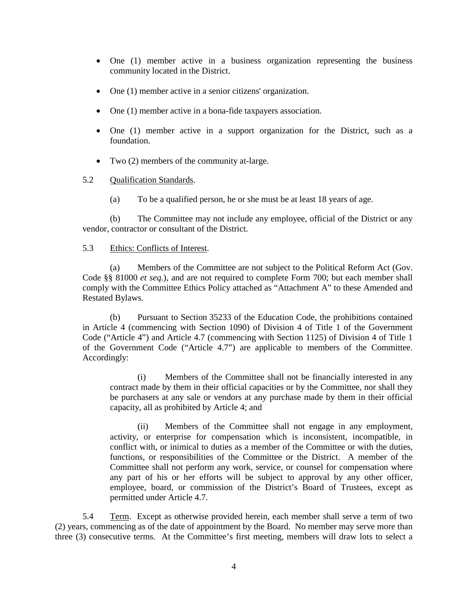- One (1) member active in a business organization representing the business community located in the District.
- One (1) member active in a senior citizens' organization.
- One (1) member active in a bona-fide taxpayers association.
- One (1) member active in a support organization for the District, such as a foundation.
- Two (2) members of the community at-large.

### 5.2 Qualification Standards.

(a) To be a qualified person, he or she must be at least 18 years of age.

(b) The Committee may not include any employee, official of the District or any vendor, contractor or consultant of the District.

#### 5.3 Ethics: Conflicts of Interest.

(a) Members of the Committee are not subject to the Political Reform Act (Gov. Code §§ 81000 *et seq.*), and are not required to complete Form 700; but each member shall comply with the Committee Ethics Policy attached as "Attachment A" to these Amended and Restated Bylaws.

(b) Pursuant to Section 35233 of the Education Code, the prohibitions contained in Article 4 (commencing with Section 1090) of Division 4 of Title 1 of the Government Code ("Article 4") and Article 4.7 (commencing with Section 1125) of Division 4 of Title 1 of the Government Code ("Article 4.7") are applicable to members of the Committee. Accordingly:

(i) Members of the Committee shall not be financially interested in any contract made by them in their official capacities or by the Committee, nor shall they be purchasers at any sale or vendors at any purchase made by them in their official capacity, all as prohibited by Article 4; and

(ii) Members of the Committee shall not engage in any employment, activity, or enterprise for compensation which is inconsistent, incompatible, in conflict with, or inimical to duties as a member of the Committee or with the duties, functions, or responsibilities of the Committee or the District. A member of the Committee shall not perform any work, service, or counsel for compensation where any part of his or her efforts will be subject to approval by any other officer, employee, board, or commission of the District's Board of Trustees, except as permitted under Article 4.7.

5.4 Term. Except as otherwise provided herein, each member shall serve a term of two (2) years, commencing as of the date of appointment by the Board. No member may serve more than three (3) consecutive terms. At the Committee's first meeting, members will draw lots to select a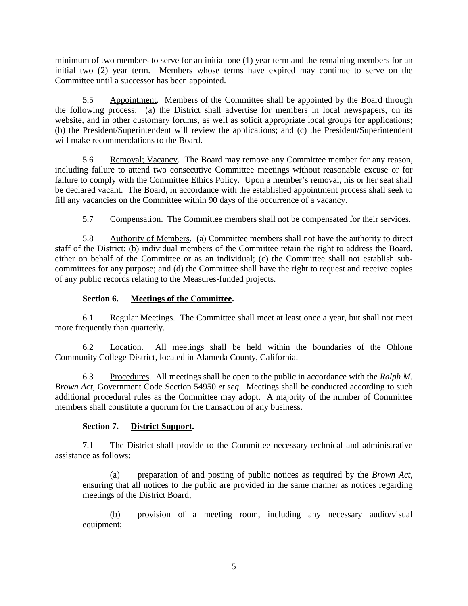minimum of two members to serve for an initial one (1) year term and the remaining members for an initial two (2) year term. Members whose terms have expired may continue to serve on the Committee until a successor has been appointed.

5.5 Appointment. Members of the Committee shall be appointed by the Board through the following process: (a) the District shall advertise for members in local newspapers, on its website, and in other customary forums, as well as solicit appropriate local groups for applications; (b) the President/Superintendent will review the applications; and (c) the President/Superintendent will make recommendations to the Board.

5.6 Removal; Vacancy. The Board may remove any Committee member for any reason, including failure to attend two consecutive Committee meetings without reasonable excuse or for failure to comply with the Committee Ethics Policy. Upon a member's removal, his or her seat shall be declared vacant. The Board, in accordance with the established appointment process shall seek to fill any vacancies on the Committee within 90 days of the occurrence of a vacancy.

5.7 Compensation. The Committee members shall not be compensated for their services.

5.8 Authority of Members. (a) Committee members shall not have the authority to direct staff of the District; (b) individual members of the Committee retain the right to address the Board, either on behalf of the Committee or as an individual; (c) the Committee shall not establish subcommittees for any purpose; and (d) the Committee shall have the right to request and receive copies of any public records relating to the Measures-funded projects.

## **Section 6. Meetings of the Committee.**

6.1 Regular Meetings. The Committee shall meet at least once a year, but shall not meet more frequently than quarterly.

6.2 Location. All meetings shall be held within the boundaries of the Ohlone Community College District, located in Alameda County, California.

6.3 Procedures. All meetings shall be open to the public in accordance with the *Ralph M. Brown Act*, Government Code Section 54950 *et seq.* Meetings shall be conducted according to such additional procedural rules as the Committee may adopt. A majority of the number of Committee members shall constitute a quorum for the transaction of any business.

# **Section 7. District Support.**

7.1 The District shall provide to the Committee necessary technical and administrative assistance as follows:

(a) preparation of and posting of public notices as required by the *Brown Act*, ensuring that all notices to the public are provided in the same manner as notices regarding meetings of the District Board;

(b) provision of a meeting room, including any necessary audio/visual equipment;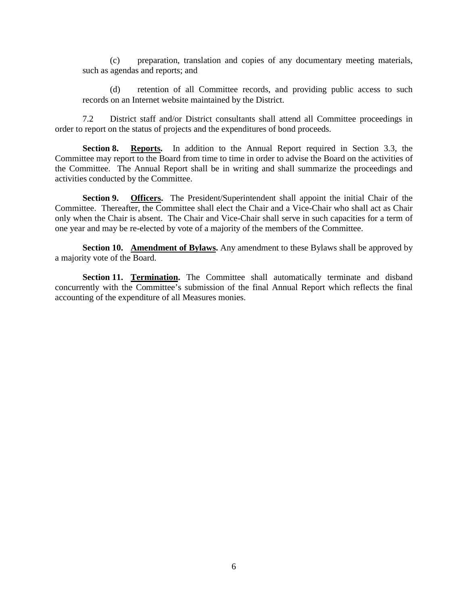(c) preparation, translation and copies of any documentary meeting materials, such as agendas and reports; and

(d) retention of all Committee records, and providing public access to such records on an Internet website maintained by the District.

7.2 District staff and/or District consultants shall attend all Committee proceedings in order to report on the status of projects and the expenditures of bond proceeds.

**Section 8. Reports.** In addition to the Annual Report required in Section 3.3, the Committee may report to the Board from time to time in order to advise the Board on the activities of the Committee. The Annual Report shall be in writing and shall summarize the proceedings and activities conducted by the Committee.

**Section 9. Officers.** The President/Superintendent shall appoint the initial Chair of the Committee. Thereafter, the Committee shall elect the Chair and a Vice-Chair who shall act as Chair only when the Chair is absent. The Chair and Vice-Chair shall serve in such capacities for a term of one year and may be re-elected by vote of a majority of the members of the Committee.

**Section 10. Amendment of Bylaws.** Any amendment to these Bylaws shall be approved by a majority vote of the Board.

**Section 11. Termination.** The Committee shall automatically terminate and disband concurrently with the Committee's submission of the final Annual Report which reflects the final accounting of the expenditure of all Measures monies.